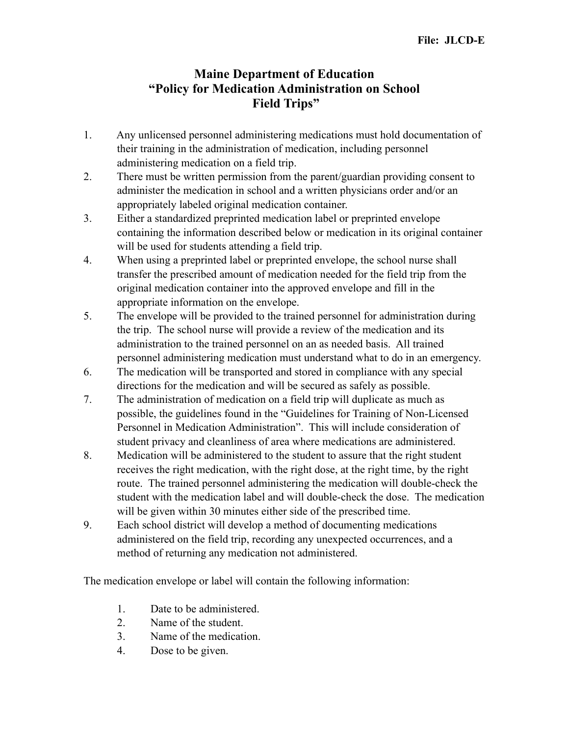## **Maine Department of Education "Policy for Medication Administration on School Field Trips"**

- 1. Any unlicensed personnel administering medications must hold documentation of their training in the administration of medication, including personnel administering medication on a field trip.
- 2. There must be written permission from the parent/guardian providing consent to administer the medication in school and a written physicians order and/or an appropriately labeled original medication container.
- 3. Either a standardized preprinted medication label or preprinted envelope containing the information described below or medication in its original container will be used for students attending a field trip.
- 4. When using a preprinted label or preprinted envelope, the school nurse shall transfer the prescribed amount of medication needed for the field trip from the original medication container into the approved envelope and fill in the appropriate information on the envelope.
- 5. The envelope will be provided to the trained personnel for administration during the trip. The school nurse will provide a review of the medication and its administration to the trained personnel on an as needed basis. All trained personnel administering medication must understand what to do in an emergency.
- 6. The medication will be transported and stored in compliance with any special directions for the medication and will be secured as safely as possible.
- 7. The administration of medication on a field trip will duplicate as much as possible, the guidelines found in the "Guidelines for Training of Non-Licensed Personnel in Medication Administration". This will include consideration of student privacy and cleanliness of area where medications are administered.
- 8. Medication will be administered to the student to assure that the right student receives the right medication, with the right dose, at the right time, by the right route. The trained personnel administering the medication will double-check the student with the medication label and will double-check the dose. The medication will be given within 30 minutes either side of the prescribed time.
- 9. Each school district will develop a method of documenting medications administered on the field trip, recording any unexpected occurrences, and a method of returning any medication not administered.

The medication envelope or label will contain the following information:

- 1. Date to be administered.
- 2. Name of the student.
- 3. Name of the medication.
- 4. Dose to be given.